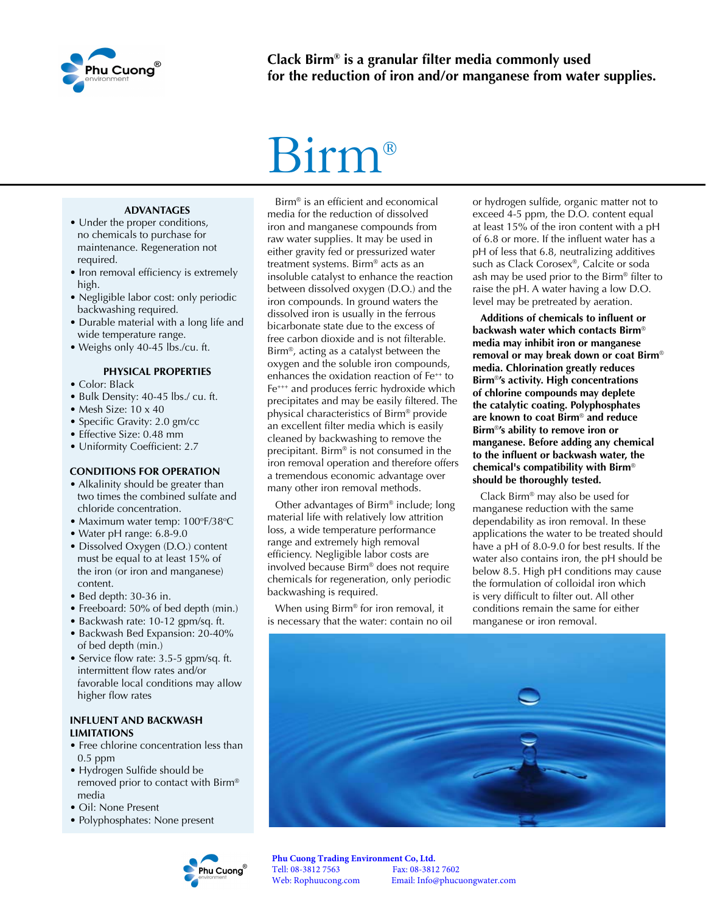

# Birm®

#### **ADVANTAGES**

- Under the proper conditions, no chemicals to purchase for maintenance. Regeneration not required.
- Iron removal efficiency is extremely high.
- Negligible labor cost: only periodic backwashing required.
- Durable material with a long life and wide temperature range.
- Weighs only 40-45 lbs./cu. ft.

#### **PHYSICAL PROPERTIES**

- Color: Black
- Bulk Density: 40-45 lbs./ cu. ft.
- Mesh Size: 10 x 40
- Specific Gravity: 2.0 gm/cc
- Effective Size: 0.48 mm
- Uniformity Coefficient: 2.7

#### **CONDITIONS FOR OPERATION**

- Alkalinity should be greater than two times the combined sulfate and chloride concentration.
- Maximum water temp: 100°F/38°C
- Water pH range: 6.8-9.0
- Dissolved Oxygen (D.O.) content must be equal to at least 15% of the iron (or iron and manganese) content.
- Bed depth: 30-36 in.
- Freeboard: 50% of bed depth (min.)
- Backwash rate: 10-12 gpm/sq. ft.
- Backwash Bed Expansion: 20-40% of bed depth (min.)
- Service flow rate: 3.5-5 gpm/sq. ft. intermittent flow rates and/or favorable local conditions may allow higher flow rates

#### **INFLUENT AND BACKWASH LIMITATIONS**

- Free chlorine concentration less than 0.5 ppm
- Hydrogen Sulfide should be removed prior to contact with Birm® media
- Oil: None Present
- Polyphosphates: None present



Birm® is an efficient and economical media for the reduction of dissolved iron and manganese compounds from raw water supplies. It may be used in either gravity fed or pressurized water treatment systems. Birm® acts as an insoluble catalyst to enhance the reaction between dissolved oxygen (D.O.) and the iron compounds. In ground waters the dissolved iron is usually in the ferrous bicarbonate state due to the excess of free carbon dioxide and is not filterable. Birm®, acting as a catalyst between the oxygen and the soluble iron compounds, enhances the oxidation reaction of Fe<sup>++</sup> to Fe<sup>+++</sup> and produces ferric hydroxide which precipitates and may be easily filtered. The physical characteristics of Birm® provide an excellent filter media which is easily cleaned by backwashing to remove the precipitant. Birm® is not consumed in the iron removal operation and therefore offers a tremendous economic advantage over many other iron removal methods.

Other advantages of Birm® include; long material life with relatively low attrition loss, a wide temperature performance range and extremely high removal efficiency. Negligible labor costs are involved because Birm® does not require chemicals for regeneration, only periodic backwashing is required.

When using Birm® for iron removal, it is necessary that the water: contain no oil or hydrogen sulfide, organic matter not to exceed 4-5 ppm, the D.O. content equal at least 15% of the iron content with a pH of 6.8 or more. If the influent water has a pH of less that 6.8, neutralizing additives such as Clack Corosex®, Calcite or soda ash may be used prior to the Birm® filter to raise the pH. A water having a low D.O. level may be pretreated by aeration.

**Additions of chemicals to influent or backwash water which contacts Birm**® **media may inhibit iron or manganese removal or may break down or coat Birm**® **media. Chlorination greatly reduces Birm**®**'s activity. High concentrations of chlorine compounds may deplete the catalytic coating. Polyphosphates are known to coat Birm**® **and reduce Birm**®**'s ability to remove iron or manganese. Before adding any chemical to the influent or backwash water, the chemical's compatibility with Birm**® **should be thoroughly tested.**

Clack Birm® may also be used for manganese reduction with the same dependability as iron removal. In these applications the water to be treated should have a pH of 8.0-9.0 for best results. If the water also contains iron, the pH should be below 8.5. High pH conditions may cause the formulation of colloidal iron which is very difficult to filter out. All other conditions remain the same for either manganese or iron removal.